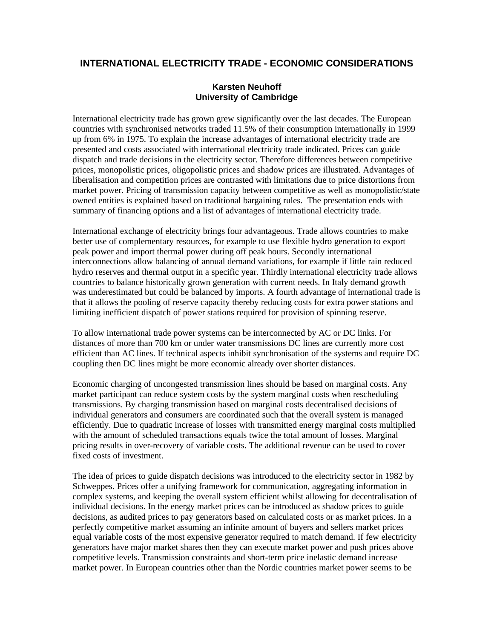## **INTERNATIONAL ELECTRICITY TRADE - ECONOMIC CONSIDERATIONS**

## **Karsten Neuhoff University of Cambridge**

International electricity trade has grown grew significantly over the last decades. The European countries with synchronised networks traded 11.5% of their consumption internationally in 1999 up from 6% in 1975. To explain the increase advantages of international electricity trade are presented and costs associated with international electricity trade indicated. Prices can guide dispatch and trade decisions in the electricity sector. Therefore differences between competitive prices, monopolistic prices, oligopolistic prices and shadow prices are illustrated. Advantages of liberalisation and competition prices are contrasted with limitations due to price distortions from market power. Pricing of transmission capacity between competitive as well as monopolistic/state owned entities is explained based on traditional bargaining rules. The presentation ends with summary of financing options and a list of advantages of international electricity trade.

International exchange of electricity brings four advantageous. Trade allows countries to make better use of complementary resources, for example to use flexible hydro generation to export peak power and import thermal power during off peak hours. Secondly international interconnections allow balancing of annual demand variations, for example if little rain reduced hydro reserves and thermal output in a specific year. Thirdly international electricity trade allows countries to balance historically grown generation with current needs. In Italy demand growth was underestimated but could be balanced by imports. A fourth advantage of international trade is that it allows the pooling of reserve capacity thereby reducing costs for extra power stations and limiting inefficient dispatch of power stations required for provision of spinning reserve.

To allow international trade power systems can be interconnected by AC or DC links. For distances of more than 700 km or under water transmissions DC lines are currently more cost efficient than AC lines. If technical aspects inhibit synchronisation of the systems and require DC coupling then DC lines might be more economic already over shorter distances.

Economic charging of uncongested transmission lines should be based on marginal costs. Any market participant can reduce system costs by the system marginal costs when rescheduling transmissions. By charging transmission based on marginal costs decentralised decisions of individual generators and consumers are coordinated such that the overall system is managed efficiently. Due to quadratic increase of losses with transmitted energy marginal costs multiplied with the amount of scheduled transactions equals twice the total amount of losses. Marginal pricing results in over-recovery of variable costs. The additional revenue can be used to cover fixed costs of investment.

The idea of prices to guide dispatch decisions was introduced to the electricity sector in 1982 by Schweppes. Prices offer a unifying framework for communication, aggregating information in complex systems, and keeping the overall system efficient whilst allowing for decentralisation of individual decisions. In the energy market prices can be introduced as shadow prices to guide decisions, as audited prices to pay generators based on calculated costs or as market prices. In a perfectly competitive market assuming an infinite amount of buyers and sellers market prices equal variable costs of the most expensive generator required to match demand. If few electricity generators have major market shares then they can execute market power and push prices above competitive levels. Transmission constraints and short-term price inelastic demand increase market power. In European countries other than the Nordic countries market power seems to be